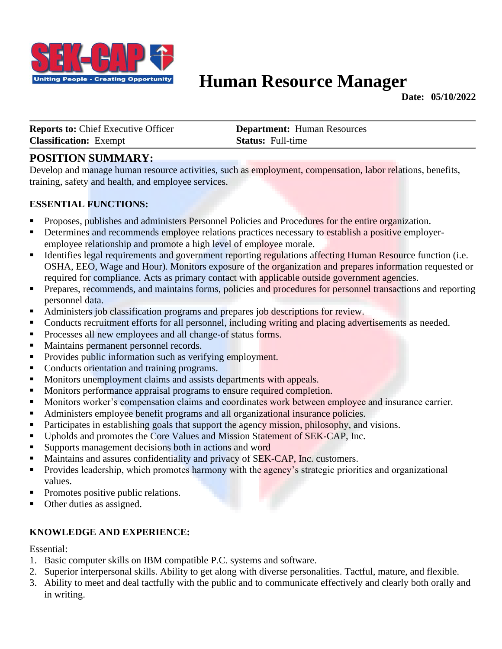

# **Human Resource Manager**

**Date: 05/10/2022**

**Reports to: Chief Executive Officer <b>Department:** Human Resources **Classification:** Exempt **Status:** Full-time

# **POSITION SUMMARY:**

Develop and manage human resource activities, such as employment, compensation, labor relations, benefits, training, safety and health, and employee services.

### **ESSENTIAL FUNCTIONS:**

- **•** Proposes, publishes and administers Personnel Policies and Procedures for the entire organization.
- **EXECUTE:** Determines and recommends employee relations practices necessary to establish a positive employeremployee relationship and promote a high level of employee morale.
- **EXECUTE:** Identifies legal requirements and government reporting regulations affecting Human Resource function (i.e. OSHA, EEO, Wage and Hour). Monitors exposure of the organization and prepares information requested or required for compliance. Acts as primary contact with applicable outside government agencies.
- **•** Prepares, recommends, and maintains forms, policies and procedures for personnel transactions and reporting personnel data.
- Administers job classification programs and prepares job descriptions for review.
- **•** Conducts recruitment efforts for all personnel, including writing and placing advertisements as needed.
- Processes all new employees and all change-of status forms.
- Maintains permanent personnel records.
- Provides public information such as verifying employment.
- Conducts orientation and training programs.
- **EXECUTE:** Monitors unemployment claims and assists departments with appeals.
- **IDED** Monitors performance appraisal programs to ensure required completion.
- **I** Monitors worker's compensation claims and coordinates work between employee and insurance carrier.
- Administers employee benefit programs and all organizational insurance policies.
- Participates in establishing goals that support the agency mission, philosophy, and visions.
- **EX** Upholds and promotes the Core Values and Mission Statement of SEK-CAP, Inc.
- **Example 1** Supports management decisions both in actions and word
- Maintains and assures confidentiality and privacy of SEK-CAP, Inc. customers.
- **•** Provides leadership, which promotes harmony with the agency's strategic priorities and organizational values.
- Promotes positive public relations.
- Other duties as assigned.

### **KNOWLEDGE AND EXPERIENCE:**

Essential:

- 1. Basic computer skills on IBM compatible P.C. systems and software.
- 2. Superior interpersonal skills. Ability to get along with diverse personalities. Tactful, mature, and flexible.
- 3. Ability to meet and deal tactfully with the public and to communicate effectively and clearly both orally and in writing.